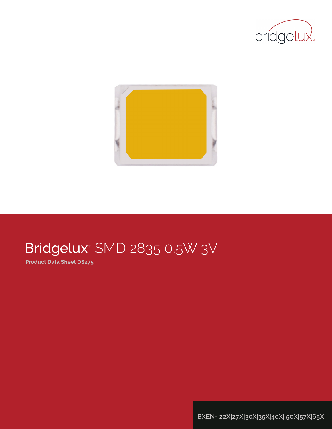



# Bridgelux® SMD 2835 0.5W 3V

**Product Data Sheet DS275**

**BXEN- 22X|27X|30X|35X|40X| 50X|57X|65X**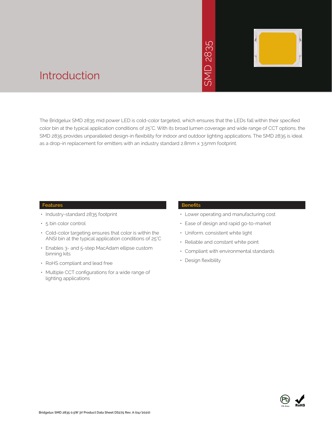# 2835  $\overline{\bigcap}$ **INS**



### Introduction

The Bridgelux SMD 2835 mid power LED is cold-color targeted, which ensures that the LEDs fall within their specified color bin at the typical application conditions of 25°C. With its broad lumen coverage and wide range of CCT options, the SMD 2835 provides unparalleled design-in flexibility for indoor and outdoor lighting applications. The SMD 2835 is ideal as a drop-in replacement for emitters with an industry standard 2.8mm x 3.5mm footprint. • Market The Sammer School Control Control Control Control Control Control Control Control Control Control Control Control Control Control Control Control Control Control Control Control Control Control Control Control Con

#### **Features**

- Industry-standard 2835 footprint
- 5 bin color control
- Cold-color targeting ensures that color is within the ANSI bin at the typical application conditions of 25°C
- Enables 3- and 5-step MacAdam ellipse custom binning kits
- RoHS compliant and lead free
- Multiple CCT configurations for a wide range of lighting applications

#### **Benefits**

- Lower operating and manufacturing cost
- Ease of design and rapid go-to-market
- Uniform, consistent white light
- Reliable and constant white point
- Compliant with environmental standards
- · Design flexibility

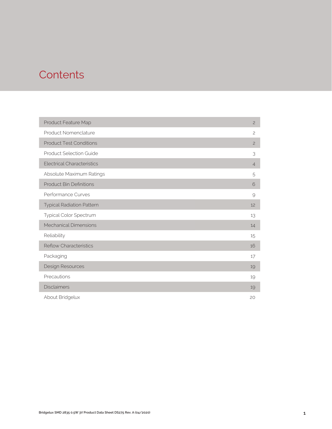### **Contents**

| Product Feature Map               | $\overline{c}$ |
|-----------------------------------|----------------|
| Product Nomenclature              | $\overline{c}$ |
| <b>Product Test Conditions</b>    | $\overline{c}$ |
| <b>Product Selection Guide</b>    | 3              |
| <b>Electrical Characteristics</b> | $\overline{4}$ |
| Absolute Maximum Ratings          | 5              |
| <b>Product Bin Definitions</b>    | 6              |
| Performance Curves                | 9              |
| <b>Typical Radiation Pattern</b>  | 12             |
| Typical Color Spectrum            | 13             |
| <b>Mechanical Dimensions</b>      | 14             |
| Reliability                       | 15             |
| <b>Reflow Characteristics</b>     | 16             |
| Packaging                         | 17             |
| Design Resources                  | 19             |
| Precautions                       | 19             |
| <b>Disclaimers</b>                | 19             |
| About Bridgelux                   | 20             |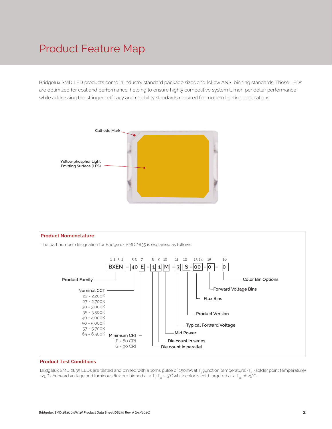### Product Feature Map

Bridgelux SMD LED products come in industry standard package sizes and follow ANSI binning standards. These LEDs are optimized for cost and performance, helping to ensure highly competitive system lumen per dollar performance while addressing the stringent efficacy and reliability standards required for modern lighting applications.





#### **Product Test Conditions**

Bridgelux SMD 2835 LEDs are tested and binned with a 10ms pulse of 150mA at T<sub>j</sub> (junction temperature)=T<sub>sp</sub> (solder point temperature) =25°C. Forward voltage and luminous flux are binned at a T<sub>j</sub>-T<sub>sp</sub>=25°C.while color is cold targeted at a T<sub>sp</sub> of 25°C.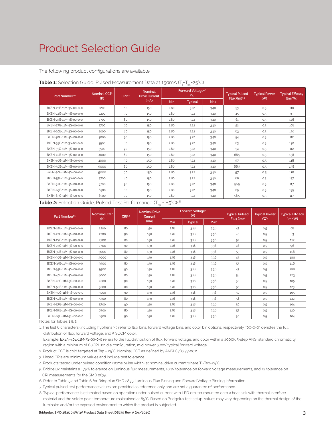### Product Selection Guide

The following product configurations are available:

| Nominal CCT <sup>2</sup><br>Part Number <sup>1,6</sup><br>(K) |      | CRI3.5 | <b>Nominal</b><br><b>Drive Current</b> |            | Forward Voltage <sup>4.5</sup><br>(V) |            | <b>Typical Pulsed</b><br>Flux (lm)4.5 | <b>Typical Power</b><br>(W) | <b>Typical Efficacy</b><br>(lm/W) |
|---------------------------------------------------------------|------|--------|----------------------------------------|------------|---------------------------------------|------------|---------------------------------------|-----------------------------|-----------------------------------|
|                                                               |      |        | (mA)                                   | <b>Min</b> | <b>Typical</b>                        | <b>Max</b> |                                       |                             |                                   |
| BXEN-22E-11M-3S-00-0-0                                        | 2200 | 80     | 150                                    | 2.80       | 3.22                                  | 3.40       | 53                                    | 0.5                         | 110                               |
| BXEN-22G-11M-3S-00-0-0                                        | 2200 | 90     | 150                                    | 2.80       | 3.22                                  | 3.40       | 45                                    | 0.5                         | 93                                |
| BXEN-27E-11M-3S-00-0-0                                        | 2700 | 80     | 150                                    | 2.80       | 3.22                                  | 3.40       | 61                                    | 0.5                         | 126                               |
| BXEN-27G-11M-3S-00-0-0                                        | 2700 | 90     | 150                                    | 2.80       | 3.22                                  | 3.40       | 52                                    | 0.5                         | 108                               |
| BXEN-30E-11M-3S-00-0-0                                        | 3000 | 80     | 150                                    | 2.80       | 3.22                                  | 3.40       | 63                                    | 0.5                         | 130                               |
| BXEN-30G-11M-3S-00-0-0                                        | 3000 | 90     | 150                                    | 2.80       | 3.22                                  | 3.40       | 54                                    | 0.5                         | 112                               |
| BXEN-35E-11M-3S-00-0-0                                        | 3500 | 80     | 150                                    | 2.80       | 3.22                                  | 3.40       | 63                                    | 0.5                         | 130                               |
| BXEN-35G-11M-3S-00-0-0                                        | 3500 | 90     | 150                                    | 2.80       | 3.22                                  | 3.40       | 54                                    | 0.5                         | 112                               |
| BXEN-40E-11M-3S-00-0-0                                        | 4000 | 80     | 150                                    | 2.80       | 3.22                                  | 3.40       | 66.5                                  | 0.5                         | 138                               |
| BXEN-40G-11M-3S-00-0-0                                        | 4000 | 90     | 150                                    | 2.80       | 3.22                                  | 3.40       | 57                                    | 0.5                         | 118                               |
| BXEN-50E-11M-3S-00-0-0                                        | 5000 | 80     | 150                                    | 2.80       | 3.22                                  | 3.40       | 66.5                                  | 0.5                         | 138                               |
| BXEN-50G-11M-3S-00-0-0                                        | 5000 | 90     | 150                                    | 2.80       | 3.22                                  | 3.40       | 57                                    | 0.5                         | 118                               |
| BXEN-57E-11M-3S-00-0-0                                        | 5700 | 80     | 150                                    | 2.80       | 3.22                                  | 3.40       | 66                                    | 0.5                         | 137                               |
| BXEN-57G-11M-3S-00-0-0                                        | 5700 | 90     | 150                                    | 2.80       | 3.22                                  | 3.40       | 56.5                                  | 0.5                         | 117                               |
| BXEN-65E-11M-3S-00-0-0                                        | 6500 | 80     | 150                                    | 2.80       | 3.22                                  | 3.40       | 65                                    | 0.5                         | 135                               |
| BXEN-65G-11M-3S-00-0-0                                        | 6500 | 90     | 150                                    | 2.80       | 3.22                                  | 3.40       | 56.5                                  | 0.5                         | 117                               |

#### **Table 1:** Selection Guide, Pulsed Measurement Data at 150mA (T<sub>j</sub>=T<sub>sp</sub>=25°C)

**Table 2:** Selection Guide, Pulsed Test Performance (T<sub>sp</sub> = 85°C)<sup>7,8</sup>

| Part Number <sup>16</sup> | Nominal CCT <sup>2</sup><br>(K) | CRI3.5 | <b>Nominal Drive</b><br>Current |            | Forward Voltage <sup>5</sup><br>(V) |      | <b>Typical Pulsed</b><br>Flux (lm) <sup>5</sup> | <b>Typical Power</b><br>$($ W $)$ | <b>Typical Efficacy</b><br>$\frac{1}{2}$ |
|---------------------------|---------------------------------|--------|---------------------------------|------------|-------------------------------------|------|-------------------------------------------------|-----------------------------------|------------------------------------------|
|                           |                                 |        | (mA)                            | <b>Min</b> | <b>Typical</b>                      | Max  |                                                 |                                   |                                          |
| BXEN-22E-11M-3S-00-0-0    | 2200                            | 80     | 150                             | 2.76       | 3.18                                | 3.36 | 47                                              | 0.5                               | 98                                       |
| BXEN-22G-11M-3S-00-0-0    | 2200                            | 90     | 150                             | 2.76       | 3.18                                | 3.36 | 40                                              | 0.5                               | 83                                       |
| BXEN-27E-11M-3S-00-0-0    | 2700                            | 80     | 150                             | 2.76       | 3.18                                | 3.36 | 54                                              | 0.5                               | 112                                      |
| BXEN-27G-11M-3S-00-0-0    | 2700                            | 90     | 150                             | 2.76       | 3.18                                | 3.36 | 46                                              | 0.5                               | 96                                       |
| BXEN-30E-11M-3S-00-0-0    | 3000                            | 80     | 150                             | 2.76       | 3.18                                | 3.36 | 55                                              | 0.5                               | 116                                      |
| BXEN-30G-11M-3S-00-0-0    | 3000                            | 90     | 150                             | 2.76       | 3.18                                | 3.36 | 47                                              | 0.5                               | 100                                      |
| BXEN-35E-11M-3S-00-0-0    | 3500                            | 80     | 150                             | 2.76       | 3.18                                | 3.36 | 55                                              | 0.5                               | 116                                      |
| BXEN-35G-11M-3S-00-0-0    | 3500                            | 90     | 150                             | 2.76       | 3.18                                | 3.36 | 47                                              | 0.5                               | 100                                      |
| BXEN-40E-11M-3S-00-0-0    | 4000                            | 80     | 150                             | 2.76       | 3.18                                | 3.36 | 58                                              | 0.5                               | 123                                      |
| BXEN-40G-11M-3S-00-0-0    | 4000                            | 90     | 150                             | 2.76       | 3.18                                | 3.36 | 50                                              | 0.5                               | 105                                      |
| BXEN-50E-11M-3S-00-0-0    | 5000                            | 80     | 150                             | 2.76       | 3.18                                | 3.36 | 58                                              | 0.5                               | 123                                      |
| BXEN-50G-11M-3S-00-0-0    | 5000                            | 90     | 150                             | 2.76       | 3.18                                | 3.36 | 50                                              | 0.5                               | 105                                      |
| BXEN-57E-11M-3S-00-0-0    | 5700                            | 80     | 150                             | 2.76       | 3.18                                | 3.36 | 58                                              | 0.5                               | 122                                      |
| BXEN-57G-11M-3S-00-0-0    | 5700                            | 90     | 150                             | 2.76       | 3.18                                | 3.36 | 50                                              | 0.5                               | 104                                      |
| BXEN-65E-11M-3S-00-0-0    | 6500                            | 80     | 150                             | 2.76       | 3.18                                | 3.36 | 57                                              | 0.5                               | 120                                      |
| BXEN-65G-11M-3S-00-0-0    | 6500                            | 90     | 150                             | 2.76       | 3.18                                | 3.36 | 50                                              | 0.5                               | 104                                      |

Notes for Tables 1 & 2:

1. The last 6 characters (including hyphens '-') refer to flux bins, forward voltage bins, and color bin options, respectively. "00-0-0" denotes the full distribution of flux, forward voltage, and 5 SDCM color.

 Example: BXEN-40E-11M-3S-00-0-0 refers to the full distribution of flux, forward voltage, and color within a 4000K 5-step ANSI standard chromaticity region with a minimum of 80CRI, 1x1 die configuration, mid power, 3.22V typical forward voltage.

- 2. Product CCT is cold targeted at Tsp = 25°C. Nominal CCT as defined by ANSI C78.377-2011.
- 3. Listed CRIs are minimum values and include test tolerance.
- 4. Products tested under pulsed condition (10ms pulse width) at nominal drive current where Tj=Tsp=25°C.
- 5. Bridgelux maintains a ±7.5% tolerance on luminous flux measurements, ±0.1V tolerance on forward voltage measurements, and ±2 tolerance on CRI measurements for the SMD 2835.
- 6. Refer to Table 5 and Table 6 for Bridgelux SMD 2835 Luminous Flux Binning and Forward Voltage Binning information.
- 7. Typical pulsed test performance values are provided as reference only and are not a guarantee of performance.
- 8. Typical performance is estimated based on operation under pulsed current with LED emitter mounted onto a heat sink with thermal interface material and the solder point temperature maintained at 85°C. Based on Bridgelux test setup, values may vary depending on the thermal design of the luminaire and/or the exposed environment to which the product is subjected.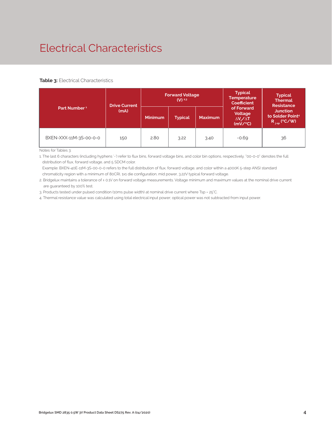# Electrical Characteristics

#### **Table 3: Electrical Characteristics**

|                          | <b>Drive Current</b> |                                  | <b>Forward Voltage</b><br>$(V)$ 2.3 |                | <b>Typical</b><br><b>Temperature</b><br><b>Coefficient</b>     | <b>Typical</b><br><b>Thermal</b><br><b>Resistance</b>                |  |
|--------------------------|----------------------|----------------------------------|-------------------------------------|----------------|----------------------------------------------------------------|----------------------------------------------------------------------|--|
| Part Number <sup>1</sup> | (mA)                 | <b>Minimum</b><br><b>Typical</b> |                                     | <b>Maximum</b> | of Forward<br>Voltage<br>$\Delta V_{\rm s}/\Delta T$<br>(mV/C) | <b>Junction</b><br>to Solder Point <sup>4</sup><br>$R_{j-sp}$ (°C/W) |  |
| BXEN-XXX-11M-3S-00-0-0   | 150                  | 2.80                             | 3.22                                | 3.40           | $-0.69$                                                        | 36                                                                   |  |

Notes for Tables 3:

1. The last 6 characters (including hyphens '-') refer to flux bins, forward voltage bins, and color bin options, respectively. "00-0-0" denotes the full distribution of flux, forward voltage, and 5 SDCM color.

 Example: BXEN-40E-11M-3S-00-0-0 refers to the full distribution of flux, forward voltage, and color within a 4000K 5-step ANSI standard chromaticity region with a minimum of 80CRI, 1x1 die configuration, mid power, 3.22V typical forward voltage.

2. Bridgelux maintains a tolerance of ± 0.1V on forward voltage measurements. Voltage minimum and maximum values at the nominal drive current are guaranteed by 100% test.

3. Products tested under pulsed condition (10ms pulse width) at nominal drive current where Tsp = 25°C.

4. Thermal resistance value was calculated using total electrical input power; optical power was not subtracted from input power.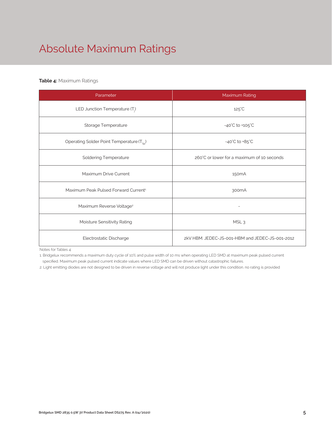# Absolute Maximum Ratings

#### **Table 4:** Maximum Ratings

| Parameter                                             | Maximum Rating                                  |  |  |  |
|-------------------------------------------------------|-------------------------------------------------|--|--|--|
| LED Junction Temperature $(T_i)$                      | $125^{\circ}$ C                                 |  |  |  |
| Storage Temperature                                   | $-40^{\circ}$ C to $+105^{\circ}$ C             |  |  |  |
| Operating Solder Point Temperature (T <sub>Sp</sub> ) | $-40^{\circ}$ C to $+85^{\circ}$ C              |  |  |  |
| <b>Soldering Temperature</b>                          | 260°C or lower for a maximum of 10 seconds      |  |  |  |
| Maximum Drive Current                                 | 150 <sub>m</sub> A                              |  |  |  |
| Maximum Peak Pulsed Forward Current <sup>1</sup>      | 300 <sub>m</sub> A                              |  |  |  |
| Maximum Reverse Voltage <sup>2</sup>                  |                                                 |  |  |  |
| Moisture Sensitivity Rating                           | MSL <sub>3</sub>                                |  |  |  |
| Electrostatic Discharge                               | 2kV HBM. JEDEC-JS-001-HBM and JEDEC-JS-001-2012 |  |  |  |

Notes for Tables 4:

1. Bridgelux recommends a maximum duty cycle of 10% and pulse width of 10 ms when operating LED SMD at maximum peak pulsed current specified. Maximum peak pulsed current indicate values where LED SMD can be driven without catastrophic failures.

2. Light emitting diodes are not designed to be driven in reverse voltage and will not produce light under this condition. no rating is provided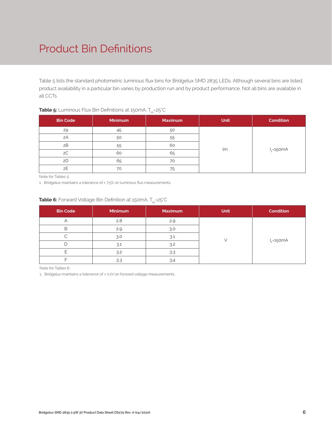# Product Bin Definitions

Table 5 lists the standard photometric luminous flux bins for Bridgelux SMD 2835 LEDs. Although several bins are listed, product availability in a particular bin varies by production run and by product performance. Not all bins are available in all CCTs.

|                 |         | --             |             |                  |
|-----------------|---------|----------------|-------------|------------------|
| <b>Bin Code</b> | Minimum | <b>Maximum</b> | <b>Unit</b> | <b>Condition</b> |
| 29              | 45      | 50             |             |                  |
| 2A              | 50      | 55             |             |                  |
| 2B              | 55      | 60             |             |                  |
| 2C              | 60      | 65             | lm          | $I_F = 150mA$    |
| 2D              | 65      | 70             |             |                  |
| 2E              | 70      | 75             |             |                  |

#### **Table 5:** Luminous Flux Bin Definitions at 150mA, T<sub>sp</sub>=25°C

Note for Tables 5:

1. Bridgelux maintains a tolerance of ±7.5% on luminous flux measurements.

#### **Table 6:** Forward Voltage Bin Definition at 150mA, T<sub>op</sub>=25°C

| <b>Bin Code</b> | Minimum | <b>Maximum</b> | <b>Unit</b> | <b>Condition</b> |
|-----------------|---------|----------------|-------------|------------------|
|                 | 2.8     | 2.9            |             |                  |
| В               | 2.9     | 3.0            |             |                  |
|                 | 3.0     | 3.1            |             |                  |
|                 | 3.1     | 3.2            |             | $I_F = 150mA$    |
|                 | 3.2     | 3.3            |             |                  |
|                 | 3.3     | 3.4            |             |                  |

Note for Tables 6:

1. Bridgelux maintains a tolerance of ± 0.1V on forward voltage measurements.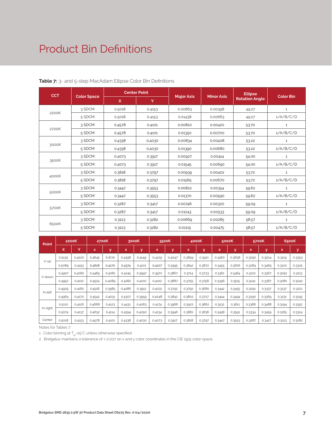### Product Bin Definitions

| <b>CCT</b> |                    |          | <b>Center Point</b> |                   | <b>Minor Axis</b> | <b>Ellipse</b>        | <b>Color Bin</b> |  |
|------------|--------------------|----------|---------------------|-------------------|-------------------|-----------------------|------------------|--|
|            | <b>Color Space</b> | <b>X</b> | Y                   | <b>Major Axis</b> |                   | <b>Rotation Angle</b> |                  |  |
|            | 3 SDCM             | 0.5018   | 0.4153              | 0.00863           | 0.00398           | 49.27                 | $\mathbf{1}$     |  |
| 2200K      | 5 SDCM             | 0.5018   | 0.4153              | 0.01438           | 0.00663           | 49.27                 | 1/A/B/C/D        |  |
|            | 3 SDCM             | 0.4578   | 0.4101              | 0.00810           | 0.00420           | 53.70                 | $\mathbf{1}$     |  |
| 2700K      | 5 SDCM             | 0.4578   | 0.4101              | 0.01350           | 0.00700           | 53.70                 | 1/A/B/C/D        |  |
|            | 3 SDCM             | 0.4338   | 0.4030              | 0.00834           | 0.00408           | 53.22                 | $\mathbf{1}$     |  |
| 3000K      | 5 SDCM             | 0.4338   | 0.4030              | 0.01390           | 0.00680           | 53.22                 | 1/A/B/C/D        |  |
|            | 3 SDCM             | 0.4073   | 0.3917              | 0.00927           | 0.00414           | 54.00                 | $\mathbf 1$      |  |
| 3500K      | 5 SDCM             | 0.4073   | 0.3917              | 0.01545           | 0.00690           | 54.00                 | 1/A/B/C/D        |  |
|            | 3 SDCM             | 0.3818   | 0.3797              | 0.00939           | 0.00402           | 53.72                 | $1\,$            |  |
| 4000K      | 5 SDCM             | 0.3818   | 0.3797              | 0.01565           | 0.00670           | 53.72                 | 1/A/B/C/D        |  |
|            | 3 SDCM             | 0.3447   | 0.3553              | 0.00822           | 0.00354           | 59.62                 | $\mathbf{1}$     |  |
| 5000K      | 5 SDCM             | 0.3447   | 0.3553              | 0.01370           | 0.00590           | 59.62                 | 1/A/B/C/D        |  |
|            | 3 SDCM             | 0.3287   | 0.3417              | 0.00746           | 0.00320           | 59.09                 | $\mathbf{1}$     |  |
| 5700K      | 5 SDCM             | 0.3287   | 0.3417              | 0.01243           | 0.00533           | 59.09                 | 1/A/B/C/D        |  |
|            | 3 SDCM             | 0.3123   | 0.3282              | 0.00669           | 0.00285           | 58.57                 | $1\,$            |  |
| 6500K      | 5 SDCM             | 0.3123   | 0.3282              | 0.01115           | 0.00475           | 58.57                 | 1/A/B/C/D        |  |

#### **Table 7:** 3- and 5-step MacAdam Ellipse Color Bin Definitions

| Point   | 2200K  |        |        | 2700K  | 3000K  |              | 3500K  |        | 4000K  |        | 5000K  |        | 5700K  |        | 6500K  |        |
|---------|--------|--------|--------|--------|--------|--------------|--------|--------|--------|--------|--------|--------|--------|--------|--------|--------|
|         | x      | Y      | x      | У      | x      | $\mathbf{v}$ | x      | y      | x      | У      | x      | v      | x      | У      | x      | v      |
|         | 0.5135 | 0.4220 | 0.4645 | 0.4216 | 0.4398 | 0.4149       | 0.4129 | 0.4047 | 0.3859 | 0.3921 | 0.3460 | 0.3658 | 0.3290 | 0.3504 | 0.3119 | 0.3353 |
| V-up    | 0.5089 | 0.4193 | 0.4618 | 0.4170 | 0.4374 | 0.4101       | 0.4107 | 0.3995 | 0.3842 | 0.3872 | 0.3455 | 0.3616 | 0.3289 | 0.3469 | 0.3120 | 0.3325 |
|         | 0.4907 | 0.4082 | 0.4489 | 0.4081 | 0.4245 | 0.3997       | 0.3972 | 0.3867 | 0.3714 | 0.3733 | 0.3361 | 0.3484 | 0.3210 | 0.3367 | 0.3052 | 0.3213 |
| V-down  | 0.4952 | 0.4110 | 0.4524 | 0.4089 | 0.4282 | 0.4010       | 0.4012 | 0.3887 | 0.3755 | 0.3758 | 0.3396 | 0.3515 | 0.3241 | 0.3387 | 0.3081 | 0.3240 |
|         | 0.4929 | 0.4182 | 0.4518 | 0.3985 | 0.4286 | 0.3912       | 0.4031 | 0.3792 | 0.3792 | 0.3680 | 0.3442 | 0.3455 | 0.3292 | 0.3337 | 0.3137 | 0.3221 |
| H-left  | 0.4964 | 0.4170 | 0.4542 | 0.4031 | 0.4307 | 0.3959       | 0.4048 | 0.3842 | 0.3802 | 0.3727 | 0.3444 | 0.3494 | 0.3290 | 0.3369 | 0.3131 | 0.3245 |
|         | 0.5110 | 0.4126 | 0.4668 | 0.4123 | 0.4431 | 0.4063       | 0.4174 | 0.3966 | 0.3922 | 0.3862 | 0.3531 | 0.3611 | 0.3366 | 0.3488 | 0.3194 | 0.3352 |
| H-right | 0.5074 | 0.4137 | 0.4632 | 0.4114 | 0.4394 | 0.4050       | 0.4134 | 0.3946 | 0.3881 | 0.3836 | 0.3498 | 0.3591 | 0.3334 | 0.3459 | 0.3165 | 0.3324 |
| Center  | 0.5018 | 0.4153 | 0.4578 | 0.4101 | 0.4338 | 0.4030       | 0.4073 | 0.3917 | 0.3818 | 0.3797 | 0.3447 | 0.3553 | 0.3287 | 0.3417 | 0.3123 | 0.3282 |

Notes for Tables 7:

1. Color binning at  $T_{sp}$ =25°C unless otherwise specified

2. Bridgelux maintains a tolerance of ± 0.007 on x and y color coordinates in the CIE 1931 color space.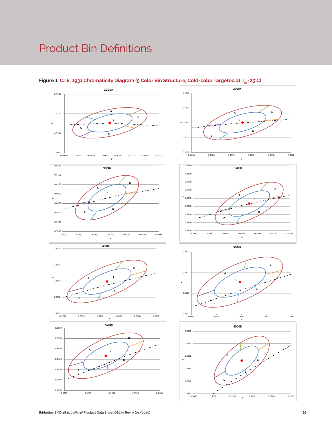### Product Bin Definitions





**x**

**A**

**x**

**x**

**1**

**x**

**1**

**1 A**

**B**

**1**

**B**

**B**

**B**

**D**

**D**

**D**

**D**

 $\mathcal{L}$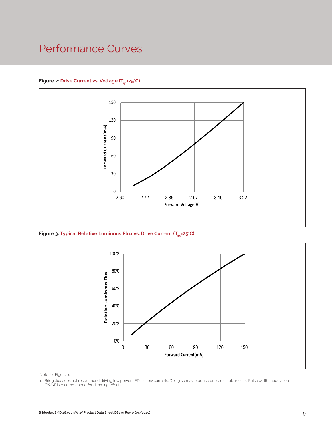### Performance Curves

#### Figure 2: Drive Current vs. Voltage (T<sub>SD</sub>=25°C)



Figure 3: Typical Relative Luminous Flux vs. Drive Current (T<sub>sp</sub>=25°C)



Note for Figure 3:

<sup>1.</sup> Bridgelux does not recommend driving low power LEDs at low currents. Doing so may produce unpredictable results. Pulse width modulation (PWM) is recommended for dimming effects.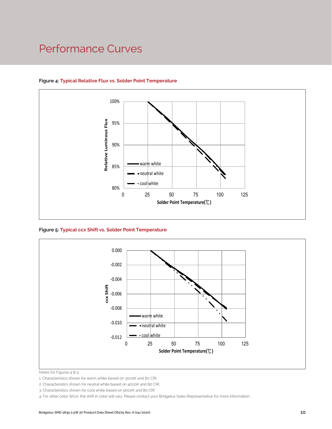### Performance Curves



#### **Figure 4: Typical Relative Flux vs. Solder Point Temperature**

**Figure 5: Typical ccx Shift vs. Solder Point Temperature**



Notes for Figures 4 & 5:

4. For other color SKUs, the shift in color will vary. Please contact your Bridgelux Sales Representative for more information.

<sup>1.</sup> Characteristics shown for warm white based on 3000K and 80 CRI.

<sup>2.</sup> Characteristics shown for neutral white based on 4000K and 80 CRI.

<sup>3.</sup> Characteristics shown for cool white based on 5000K and 80 CRI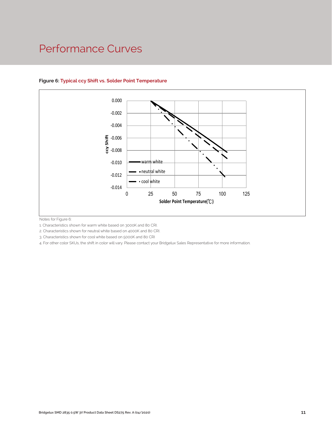### Performance Curves



#### **Figure 6: Typical ccy Shift vs. Solder Point Temperature**

Notes for Figure 6:

1. Characteristics shown for warm white based on 3000K and 80 CRI.

2. Characteristics shown for neutral white based on 4000K and 80 CRI.

3. Characteristics shown for cool white based on 5000K and 80 CRI

CRI.<br>10 CRI.<br>10 CRI.<br>10 Your Bridgelux Sales Representative for more information of the state of the Sales Representative for more information.<br>10 Your Bridgelux Sales Representative for more information.<br>10 Your Bridgelux 4. For other color SKUs, the shift in color will vary. Please contact your Bridgelux Sales Representative for more information.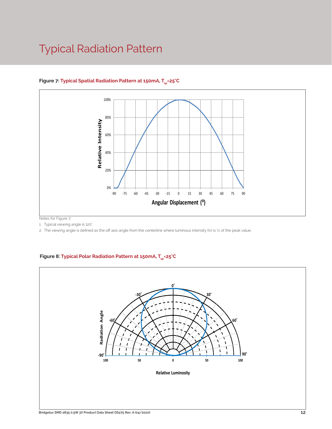### Typical Radiation Pattern



#### Figure 7: Typical Spatial Radiation Pattern at 150mA, T<sub>cn</sub>=25°C

Notes for Figure 7:

1. Typical viewing angle is 120°.

2. The viewing angle is defined as the off axis angle from the centerline where luminous intensity (Iv) is ½ of the peak value.

#### Figure 8: Typical Polar Radiation Pattern at 150mA, T<sub>sp</sub>=25°C

.

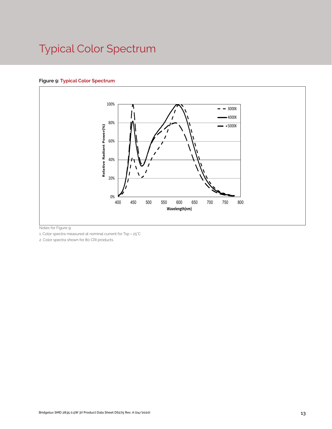# Typical Color Spectrum

#### **Figure 9: Typical Color Spectrum**



Notes for Figure 9:

1. Color spectra measured at nominal current for Tsp = 25°C

2. Color spectra shown for 80 CRI products.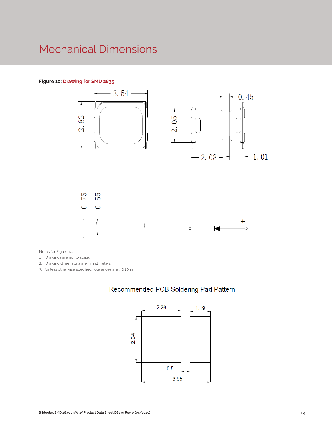### Mechanical Dimensions

#### **Figure 10: Drawing for SMD 2835**



Notes for Figure 10:

1. Drawings are not to scale.

2. Drawing dimensions are in millimeters.

3. Unless otherwise specified, tolerances are ± 0.10mm.

#### Recommended PCB Soldering Pad Pattern

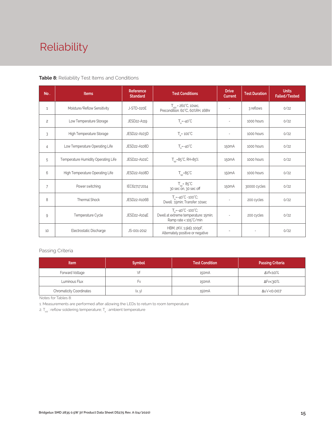# Reliability

#### **Table 8:** Reliability Test Items and Conditions

| No.            | <b>Items</b>                        | Reference<br><b>Standard</b> | <b>Test Conditions</b>                                                                                 | <b>Drive</b><br><b>Current</b> | <b>Test Duration</b> | <b>Units</b><br><b>Failed/Tested</b> |
|----------------|-------------------------------------|------------------------------|--------------------------------------------------------------------------------------------------------|--------------------------------|----------------------|--------------------------------------|
| $\mathbf{1}$   | Moisture/Reflow Sensitivity         | J-STD-020E                   | $T_{\text{cld}}$ = 260°C, 10sec,<br>Precondition: 60°C, 60%RH, 168hr                                   |                                | 3 reflows            | 0/22                                 |
| $\overline{c}$ | Low Temperature Storage             | JESD22-A119                  | $T_a = -40^{\circ}C$                                                                                   | $\overline{\phantom{a}}$       | 1000 hours           | 0/22                                 |
| 3              | High Temperature Storage            | JESD22-A103D                 | $T_a = 100^{\circ}$ C                                                                                  |                                | 1000 hours           | 0/22                                 |
| 4              | Low Temperature Operating Life      | JESD22-A108D                 | $T_s = -40^{\circ}C$                                                                                   |                                | 1000 hours           | 0/22                                 |
| 5              | Temperature Humidity Operating Life | JESD22-A101C                 | $T_{\rm SD} = 85^{\circ}$ C, RH=85%                                                                    | 150 <sub>m</sub> A             | 1000 hours           | 0/22                                 |
| 6              | High Temperature Operating Life     | JESD22-A108D                 | $T_{\rm SD} = 85^{\circ}C$                                                                             | 150 <sub>m</sub> A             | 1000 hours           | 0/22                                 |
| $\overline{7}$ | Power switching                     | IEC62717:2014                | $T_{\rm SD} = 85^{\circ}C$<br>30 sec on, 30 sec off                                                    | 150 <sub>m</sub> A             | 30000 cycles         | 0/22                                 |
| 8              | Thermal Shock                       | JESD22-A106B                 | $T_a = -40^{\circ}C \sim 100^{\circ}C$ ;<br>Dwell: 15min; Transfer: 10sec                              | $\sim$                         | 200 cycles           | 0/22                                 |
| 9              | Temperature Cycle                   | JESD22-A104E                 | $T_a = -40^{\circ}C - 100^{\circ}C$ ;<br>Dwell at extreme temperature: 15min;<br>Ramp rate < 105°C/min |                                | 200 cycles           | 0/22                                 |
| 10             | Electrostatic Discharge             | JS-001-2012                  | HBM, $2KV$ , $1.5k\Omega$ , 100pF,<br>Alternately positive or negative                                 | $\overline{\phantom{a}}$       |                      | 0/22                                 |

#### Passing Criteria

| <b>Item</b>                          | <b>Symbol</b> | <b>Test Condition</b> | <b>Passing Criteria</b> |
|--------------------------------------|---------------|-----------------------|-------------------------|
| Forward Voltage                      |               | 150 <sub>m</sub> A    | ΔVf<10%                 |
| Luminous Flux                        | ۲v            | 150 <sub>m</sub> A    | ΔFν<30%                 |
| <b>Chromaticity Coordinates</b><br>. | (x, y)        | 150 <sub>m</sub> A    | Δu'v'<0.007             |

Notes for Tables 8:

1. Measurements are performed after allowing the LEDs to return to room temperature

2.  $T_{\scriptscriptstyle \rm std}$  : reflow soldering temperature;  $T_{\scriptscriptstyle \rm a}$  : ambient temperature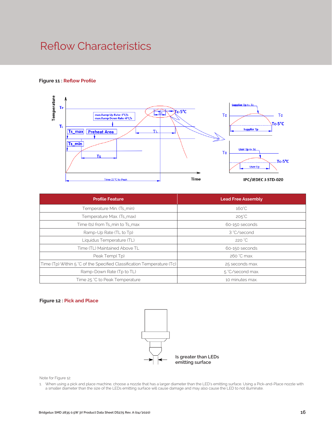### Reflow Characteristics

#### **Figure 11 : Reflow Profile**



| <b>Profile Feature</b>                                                 | <b>Lead Free Assembly</b> |  |  |  |
|------------------------------------------------------------------------|---------------------------|--|--|--|
| Temperature Min. (Ts_min)                                              | $160^{\circ}$ C           |  |  |  |
| Temperature Max. (Ts_max)                                              | $205^{\circ}$ C           |  |  |  |
| Time (ts) from Ts_min to Ts_max                                        | 60-150 seconds            |  |  |  |
| Ramp-Up Rate (TL to Tp)                                                | 3 °C/second               |  |  |  |
| Liquidus Temperature (TL)                                              | 220 °C                    |  |  |  |
| Time (TL) Maintained Above TL                                          | 60-150 seconds            |  |  |  |
| Peak Temp(Tp)                                                          | 260 °C max.               |  |  |  |
| Time (Tp) Within 5 °C of the Specified Classification Temperature (Tc) | 25 seconds max.           |  |  |  |
| Ramp-Down Rate (Tp to TL)                                              | 5 °C/second max.          |  |  |  |
| Time 25 °C to Peak Temperature                                         | 10 minutes max.           |  |  |  |

#### **Figure 12 : Pick and Place**



Note for Figure 12:

1. When using a pick and place machine, choose a nozzle that has a larger diameter than the LED's emitting surface. Using a Pick-and-Place nozzle with a smaller diameter than the size of the LEDs emitting surface will cause damage and may also cause the LED to not illuminate.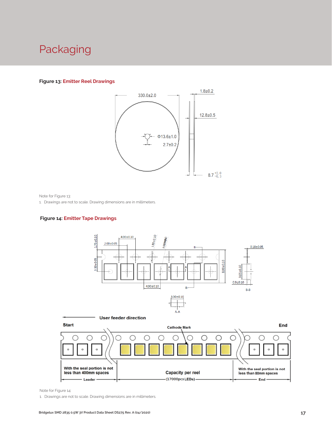### Packaging

#### **Figure 13: Emitter Reel Drawings**



Note for Figure 13:

1. Drawings are not to scale. Drawing dimensions are in millimeters.

#### **Figure 14: Emitter Tape Drawings**





Note for Figure 14:

1. Drawings are not to scale. Drawing dimensions are in millimeters.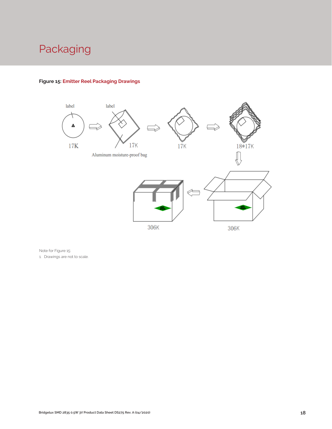# Packaging



#### **Figure 15: Emitter Reel Packaging Drawings**

Note for Figure 15: 1. Drawings are not to scale.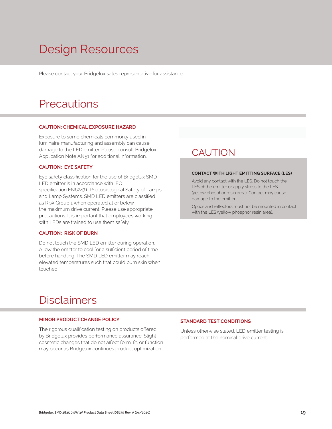# Design Resources

Please contact your Bridgelux sales representative for assistance.

### **Precautions**

#### **CAUTION: CHEMICAL EXPOSURE HAZARD**

Exposure to some chemicals commonly used in luminaire manufacturing and assembly can cause damage to the LED emitter. Please consult Bridgelux Application Note AN51 for additional information.

#### **CAUTION: EYE SAFETY**

Eye safety classification for the use of Bridgelux SMD LED emitter is in accordance with IEC specification EN62471: Photobiological Safety of Lamps and Lamp Systems. SMD LED emitters are classified as Risk Group 1 when operated at or below the maximum drive current. Please use appropriate precautions. It is important that employees working with LEDs are trained to use them safely.

#### **CAUTION: RISK OF BURN**

Do not touch the SMD LED emitter during operation. Allow the emitter to cool for a sufficient period of time before handling. The SMD LED emitter may reach elevated temperatures such that could burn skin when touched.

### **CAUTION**

#### **CONTACT WITH LIGHT EMITTING SURFACE (LES)**

Avoid any contact with the LES. Do not touch the LES of the emitter or apply stress to the LES (yellow phosphor resin area). Contact may cause damage to the emitter

Optics and reflectors must not be mounted in contact with the LES (yellow phosphor resin area).

### Disclaimers

#### **MINOR PRODUCT CHANGE POLICY**

The rigorous qualification testing on products offered by Bridgelux provides performance assurance. Slight cosmetic changes that do not affect form, fit, or function may occur as Bridgelux continues product optimization.

#### **STANDARD TEST CONDITIONS**

Unless otherwise stated, LED emitter testing is performed at the nominal drive current.